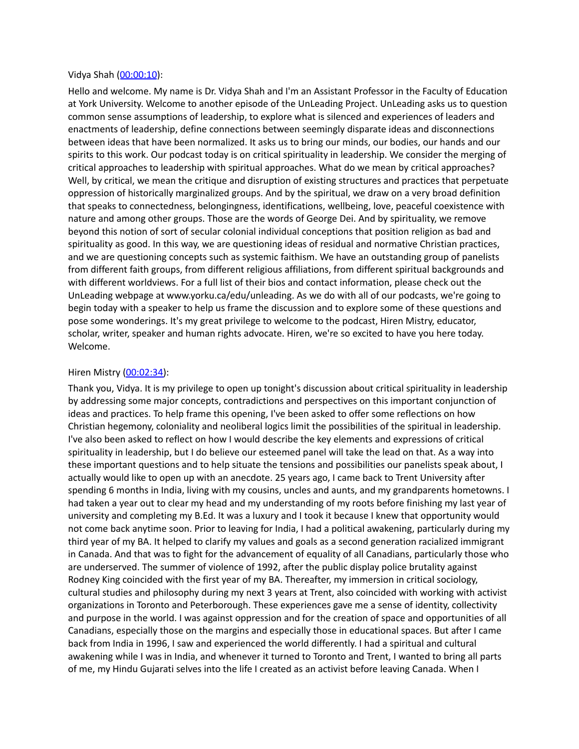#### Vidya Shah ([00:00:10](https://www.temi.com/editor/t/Xu7vKnOF3KLRk42n7d1h3uHw07kAcbR5AhtM-G_OmrscEClEA9mefRyw92JOCUvRJcCK0tZfmdKsFi8JwNP_K5yaRMs?loadFrom=DocumentDeeplink&ts=10.2)):

Hello and welcome. My name is Dr. Vidya Shah and I'm an Assistant Professor in the Faculty of Education at York University. Welcome to another episode of the UnLeading Project. UnLeading asks us to question common sense assumptions of leadership, to explore what is silenced and experiences of leaders and enactments of leadership, define connections between seemingly disparate ideas and disconnections between ideas that have been normalized. It asks us to bring our minds, our bodies, our hands and our spirits to this work. Our podcast today is on critical spirituality in leadership. We consider the merging of critical approaches to leadership with spiritual approaches. What do we mean by critical approaches? Well, by critical, we mean the critique and disruption of existing structures and practices that perpetuate oppression of historically marginalized groups. And by the spiritual, we draw on a very broad definition that speaks to connectedness, belongingness, identifications, wellbeing, love, peaceful coexistence with nature and among other groups. Those are the words of George Dei. And by spirituality, we remove beyond this notion of sort of secular colonial individual conceptions that position religion as bad and spirituality as good. In this way, we are questioning ideas of residual and normative Christian practices, and we are questioning concepts such as systemic faithism. We have an outstanding group of panelists from different faith groups, from different religious affiliations, from different spiritual backgrounds and with different worldviews. For a full list of their bios and contact information, please check out the UnLeading webpage at www.yorku.ca/edu/unleading. As we do with all of our podcasts, we're going to begin today with a speaker to help us frame the discussion and to explore some of these questions and pose some wonderings. It's my great privilege to welcome to the podcast, Hiren Mistry, educator, scholar, writer, speaker and human rights advocate. Hiren, we're so excited to have you here today. Welcome.

# Hiren Mistry [\(00:02:34\)](https://www.temi.com/editor/t/Xu7vKnOF3KLRk42n7d1h3uHw07kAcbR5AhtM-G_OmrscEClEA9mefRyw92JOCUvRJcCK0tZfmdKsFi8JwNP_K5yaRMs?loadFrom=DocumentDeeplink&ts=154.91):

Thank you, Vidya. It is my privilege to open up tonight's discussion about critical spirituality in leadership by addressing some major concepts, contradictions and perspectives on this important conjunction of ideas and practices. To help frame this opening, I've been asked to offer some reflections on how Christian hegemony, coloniality and neoliberal logics limit the possibilities of the spiritual in leadership. I've also been asked to reflect on how I would describe the key elements and expressions of critical spirituality in leadership, but I do believe our esteemed panel will take the lead on that. As a way into these important questions and to help situate the tensions and possibilities our panelists speak about, I actually would like to open up with an anecdote. 25 years ago, I came back to Trent University after spending 6 months in India, living with my cousins, uncles and aunts, and my grandparents hometowns. I had taken a year out to clear my head and my understanding of my roots before finishing my last year of university and completing my B.Ed. It was a luxury and I took it because I knew that opportunity would not come back anytime soon. Prior to leaving for India, I had a political awakening, particularly during my third year of my BA. It helped to clarify my values and goals as a second generation racialized immigrant in Canada. And that was to fight for the advancement of equality of all Canadians, particularly those who are underserved. The summer of violence of 1992, after the public display police brutality against Rodney King coincided with the first year of my BA. Thereafter, my immersion in critical sociology, cultural studies and philosophy during my next 3 years at Trent, also coincided with working with activist organizations in Toronto and Peterborough. These experiences gave me a sense of identity, collectivity and purpose in the world. I was against oppression and for the creation of space and opportunities of all Canadians, especially those on the margins and especially those in educational spaces. But after I came back from India in 1996, I saw and experienced the world differently. I had a spiritual and cultural awakening while I was in India, and whenever it turned to Toronto and Trent, I wanted to bring all parts of me, my Hindu Gujarati selves into the life I created as an activist before leaving Canada. When I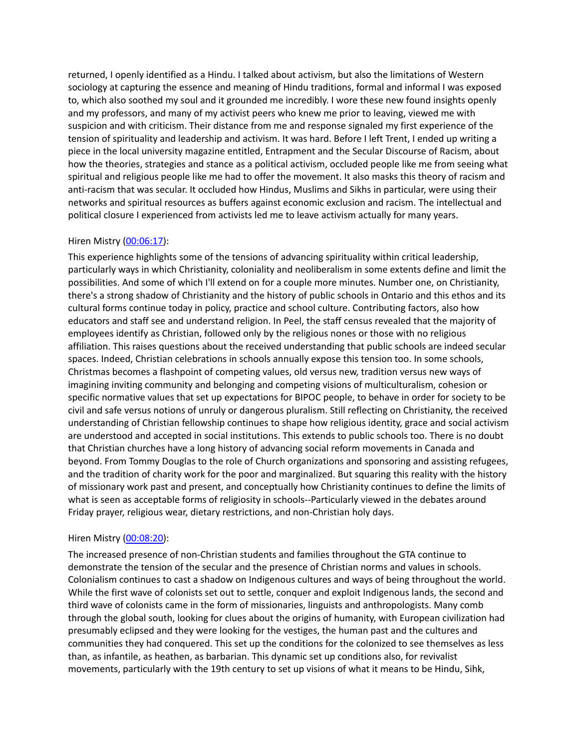returned, I openly identified as a Hindu. I talked about activism, but also the limitations of Western sociology at capturing the essence and meaning of Hindu traditions, formal and informal I was exposed to, which also soothed my soul and it grounded me incredibly. I wore these new found insights openly and my professors, and many of my activist peers who knew me prior to leaving, viewed me with suspicion and with criticism. Their distance from me and response signaled my first experience of the tension of spirituality and leadership and activism. It was hard. Before I left Trent, I ended up writing a piece in the local university magazine entitled, Entrapment and the Secular Discourse of Racism, about how the theories, strategies and stance as a political activism, occluded people like me from seeing what spiritual and religious people like me had to offer the movement. It also masks this theory of racism and anti-racism that was secular. It occluded how Hindus, Muslims and Sikhs in particular, were using their networks and spiritual resources as buffers against economic exclusion and racism. The intellectual and political closure I experienced from activists led me to leave activism actually for many years.

## Hiren Mistry [\(00:06:17\)](https://www.temi.com/editor/t/Xu7vKnOF3KLRk42n7d1h3uHw07kAcbR5AhtM-G_OmrscEClEA9mefRyw92JOCUvRJcCK0tZfmdKsFi8JwNP_K5yaRMs?loadFrom=DocumentDeeplink&ts=377.93):

This experience highlights some of the tensions of advancing spirituality within critical leadership, particularly ways in which Christianity, coloniality and neoliberalism in some extents define and limit the possibilities. And some of which I'll extend on for a couple more minutes. Number one, on Christianity, there's a strong shadow of Christianity and the history of public schools in Ontario and this ethos and its cultural forms continue today in policy, practice and school culture. Contributing factors, also how educators and staff see and understand religion. In Peel, the staff census revealed that the majority of employees identify as Christian, followed only by the religious nones or those with no religious affiliation. This raises questions about the received understanding that public schools are indeed secular spaces. Indeed, Christian celebrations in schools annually expose this tension too. In some schools, Christmas becomes a flashpoint of competing values, old versus new, tradition versus new ways of imagining inviting community and belonging and competing visions of multiculturalism, cohesion or specific normative values that set up expectations for BIPOC people, to behave in order for society to be civil and safe versus notions of unruly or dangerous pluralism. Still reflecting on Christianity, the received understanding of Christian fellowship continues to shape how religious identity, grace and social activism are understood and accepted in social institutions. This extends to public schools too. There is no doubt that Christian churches have a long history of advancing social reform movements in Canada and beyond. From Tommy Douglas to the role of Church organizations and sponsoring and assisting refugees, and the tradition of charity work for the poor and marginalized. But squaring this reality with the history of missionary work past and present, and conceptually how Christianity continues to define the limits of what is seen as acceptable forms of religiosity in schools--Particularly viewed in the debates around Friday prayer, religious wear, dietary restrictions, and non-Christian holy days.

## Hiren Mistry [\(00:08:20\)](https://www.temi.com/editor/t/Xu7vKnOF3KLRk42n7d1h3uHw07kAcbR5AhtM-G_OmrscEClEA9mefRyw92JOCUvRJcCK0tZfmdKsFi8JwNP_K5yaRMs?loadFrom=DocumentDeeplink&ts=500.091):

The increased presence of non-Christian students and families throughout the GTA continue to demonstrate the tension of the secular and the presence of Christian norms and values in schools. Colonialism continues to cast a shadow on Indigenous cultures and ways of being throughout the world. While the first wave of colonists set out to settle, conquer and exploit Indigenous lands, the second and third wave of colonists came in the form of missionaries, linguists and anthropologists. Many comb through the global south, looking for clues about the origins of humanity, with European civilization had presumably eclipsed and they were looking for the vestiges, the human past and the cultures and communities they had conquered. This set up the conditions for the colonized to see themselves as less than, as infantile, as heathen, as barbarian. This dynamic set up conditions also, for revivalist movements, particularly with the 19th century to set up visions of what it means to be Hindu, Sihk,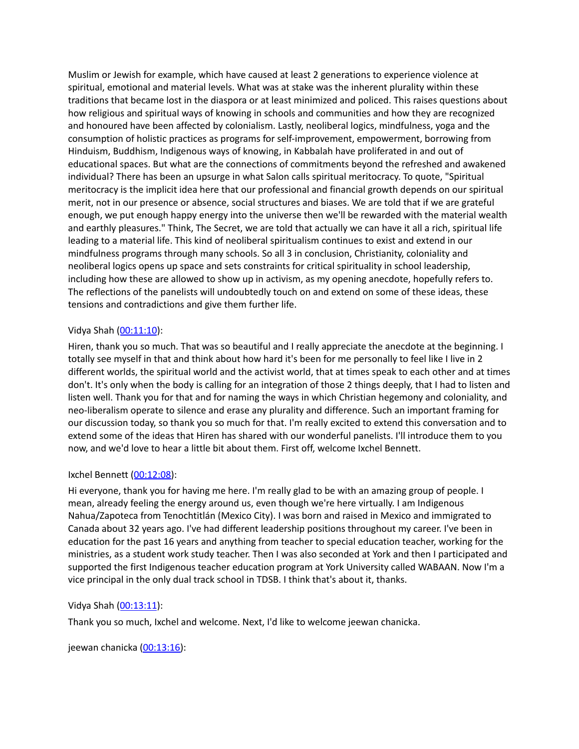Muslim or Jewish for example, which have caused at least 2 generations to experience violence at spiritual, emotional and material levels. What was at stake was the inherent plurality within these traditions that became lost in the diaspora or at least minimized and policed. This raises questions about how religious and spiritual ways of knowing in schools and communities and how they are recognized and honoured have been affected by colonialism. Lastly, neoliberal logics, mindfulness, yoga and the consumption of holistic practices as programs for self-improvement, empowerment, borrowing from Hinduism, Buddhism, Indigenous ways of knowing, in Kabbalah have proliferated in and out of educational spaces. But what are the connections of commitments beyond the refreshed and awakened individual? There has been an upsurge in what Salon calls spiritual meritocracy. To quote, "Spiritual meritocracy is the implicit idea here that our professional and financial growth depends on our spiritual merit, not in our presence or absence, social structures and biases. We are told that if we are grateful enough, we put enough happy energy into the universe then we'll be rewarded with the material wealth and earthly pleasures." Think, The Secret, we are told that actually we can have it all a rich, spiritual life leading to a material life. This kind of neoliberal spiritualism continues to exist and extend in our mindfulness programs through many schools. So all 3 in conclusion, Christianity, coloniality and neoliberal logics opens up space and sets constraints for critical spirituality in school leadership, including how these are allowed to show up in activism, as my opening anecdote, hopefully refers to. The reflections of the panelists will undoubtedly touch on and extend on some of these ideas, these tensions and contradictions and give them further life.

# Vidya Shah ([00:11:10](https://www.temi.com/editor/t/Xu7vKnOF3KLRk42n7d1h3uHw07kAcbR5AhtM-G_OmrscEClEA9mefRyw92JOCUvRJcCK0tZfmdKsFi8JwNP_K5yaRMs?loadFrom=DocumentDeeplink&ts=670.16)):

Hiren, thank you so much. That was so beautiful and I really appreciate the anecdote at the beginning. I totally see myself in that and think about how hard it's been for me personally to feel like I live in 2 different worlds, the spiritual world and the activist world, that at times speak to each other and at times don't. It's only when the body is calling for an integration of those 2 things deeply, that I had to listen and listen well. Thank you for that and for naming the ways in which Christian hegemony and coloniality, and neo-liberalism operate to silence and erase any plurality and difference. Such an important framing for our discussion today, so thank you so much for that. I'm really excited to extend this conversation and to extend some of the ideas that Hiren has shared with our wonderful panelists. I'll introduce them to you now, and we'd love to hear a little bit about them. First off, welcome Ixchel Bennett.

# Ixchel Bennett ([00:12:08\)](https://www.temi.com/editor/t/Xu7vKnOF3KLRk42n7d1h3uHw07kAcbR5AhtM-G_OmrscEClEA9mefRyw92JOCUvRJcCK0tZfmdKsFi8JwNP_K5yaRMs?loadFrom=DocumentDeeplink&ts=728.38):

Hi everyone, thank you for having me here. I'm really glad to be with an amazing group of people. I mean, already feeling the energy around us, even though we're here virtually. I am Indigenous Nahua/Zapoteca from Tenochtitlán (Mexico City). I was born and raised in Mexico and immigrated to Canada about 32 years ago. I've had different leadership positions throughout my career. I've been in education for the past 16 years and anything from teacher to special education teacher, working for the ministries, as a student work study teacher. Then I was also seconded at York and then I participated and supported the first Indigenous teacher education program at York University called WABAAN. Now I'm a vice principal in the only dual track school in TDSB. I think that's about it, thanks.

# Vidya Shah ([00:13:11](https://www.temi.com/editor/t/Xu7vKnOF3KLRk42n7d1h3uHw07kAcbR5AhtM-G_OmrscEClEA9mefRyw92JOCUvRJcCK0tZfmdKsFi8JwNP_K5yaRMs?loadFrom=DocumentDeeplink&ts=791.47)):

Thank you so much, Ixchel and welcome. Next, I'd like to welcome jeewan chanicka.

jeewan chanicka [\(00:13:16\)](https://www.temi.com/editor/t/Xu7vKnOF3KLRk42n7d1h3uHw07kAcbR5AhtM-G_OmrscEClEA9mefRyw92JOCUvRJcCK0tZfmdKsFi8JwNP_K5yaRMs?loadFrom=DocumentDeeplink&ts=796.41):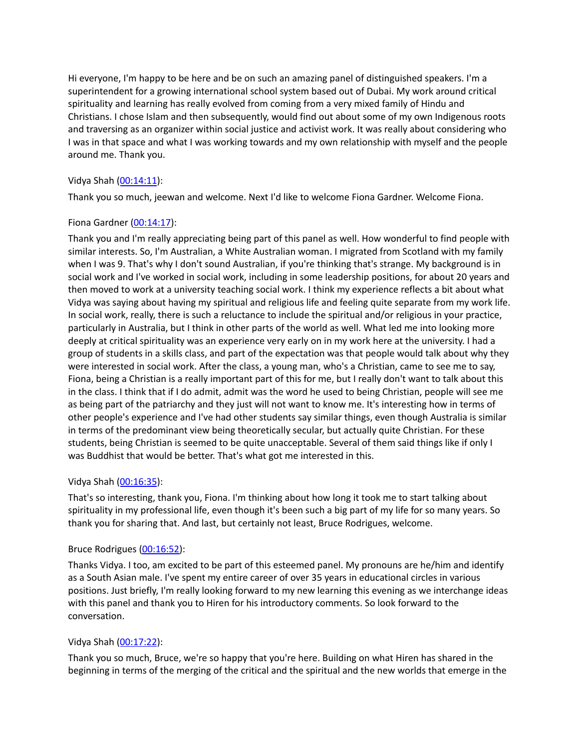Hi everyone, I'm happy to be here and be on such an amazing panel of distinguished speakers. I'm a superintendent for a growing international school system based out of Dubai. My work around critical spirituality and learning has really evolved from coming from a very mixed family of Hindu and Christians. I chose Islam and then subsequently, would find out about some of my own Indigenous roots and traversing as an organizer within social justice and activist work. It was really about considering who I was in that space and what I was working towards and my own relationship with myself and the people around me. Thank you.

# Vidya Shah ([00:14:11](https://www.temi.com/editor/t/Xu7vKnOF3KLRk42n7d1h3uHw07kAcbR5AhtM-G_OmrscEClEA9mefRyw92JOCUvRJcCK0tZfmdKsFi8JwNP_K5yaRMs?loadFrom=DocumentDeeplink&ts=851.43)):

Thank you so much, jeewan and welcome. Next I'd like to welcome Fiona Gardner. Welcome Fiona.

# Fiona Gardner [\(00:14:17\)](https://www.temi.com/editor/t/Xu7vKnOF3KLRk42n7d1h3uHw07kAcbR5AhtM-G_OmrscEClEA9mefRyw92JOCUvRJcCK0tZfmdKsFi8JwNP_K5yaRMs?loadFrom=DocumentDeeplink&ts=857.13):

Thank you and I'm really appreciating being part of this panel as well. How wonderful to find people with similar interests. So, I'm Australian, a White Australian woman. I migrated from Scotland with my family when I was 9. That's why I don't sound Australian, if you're thinking that's strange. My background is in social work and I've worked in social work, including in some leadership positions, for about 20 years and then moved to work at a university teaching social work. I think my experience reflects a bit about what Vidya was saying about having my spiritual and religious life and feeling quite separate from my work life. In social work, really, there is such a reluctance to include the spiritual and/or religious in your practice, particularly in Australia, but I think in other parts of the world as well. What led me into looking more deeply at critical spirituality was an experience very early on in my work here at the university. I had a group of students in a skills class, and part of the expectation was that people would talk about why they were interested in social work. After the class, a young man, who's a Christian, came to see me to say, Fiona, being a Christian is a really important part of this for me, but I really don't want to talk about this in the class. I think that if I do admit, admit was the word he used to being Christian, people will see me as being part of the patriarchy and they just will not want to know me. It's interesting how in terms of other people's experience and I've had other students say similar things, even though Australia is similar in terms of the predominant view being theoretically secular, but actually quite Christian. For these students, being Christian is seemed to be quite unacceptable. Several of them said things like if only I was Buddhist that would be better. That's what got me interested in this.

# Vidya Shah ([00:16:35](https://www.temi.com/editor/t/Xu7vKnOF3KLRk42n7d1h3uHw07kAcbR5AhtM-G_OmrscEClEA9mefRyw92JOCUvRJcCK0tZfmdKsFi8JwNP_K5yaRMs?loadFrom=DocumentDeeplink&ts=995.65)):

That's so interesting, thank you, Fiona. I'm thinking about how long it took me to start talking about spirituality in my professional life, even though it's been such a big part of my life for so many years. So thank you for sharing that. And last, but certainly not least, Bruce Rodrigues, welcome.

## Bruce Rodrigues [\(00:16:52\)](https://www.temi.com/editor/t/Xu7vKnOF3KLRk42n7d1h3uHw07kAcbR5AhtM-G_OmrscEClEA9mefRyw92JOCUvRJcCK0tZfmdKsFi8JwNP_K5yaRMs?loadFrom=DocumentDeeplink&ts=1012.87):

Thanks Vidya. I too, am excited to be part of this esteemed panel. My pronouns are he/him and identify as a South Asian male. I've spent my entire career of over 35 years in educational circles in various positions. Just briefly, I'm really looking forward to my new learning this evening as we interchange ideas with this panel and thank you to Hiren for his introductory comments. So look forward to the conversation.

## Vidya Shah ([00:17:22](https://www.temi.com/editor/t/Xu7vKnOF3KLRk42n7d1h3uHw07kAcbR5AhtM-G_OmrscEClEA9mefRyw92JOCUvRJcCK0tZfmdKsFi8JwNP_K5yaRMs?loadFrom=DocumentDeeplink&ts=1042.27)):

Thank you so much, Bruce, we're so happy that you're here. Building on what Hiren has shared in the beginning in terms of the merging of the critical and the spiritual and the new worlds that emerge in the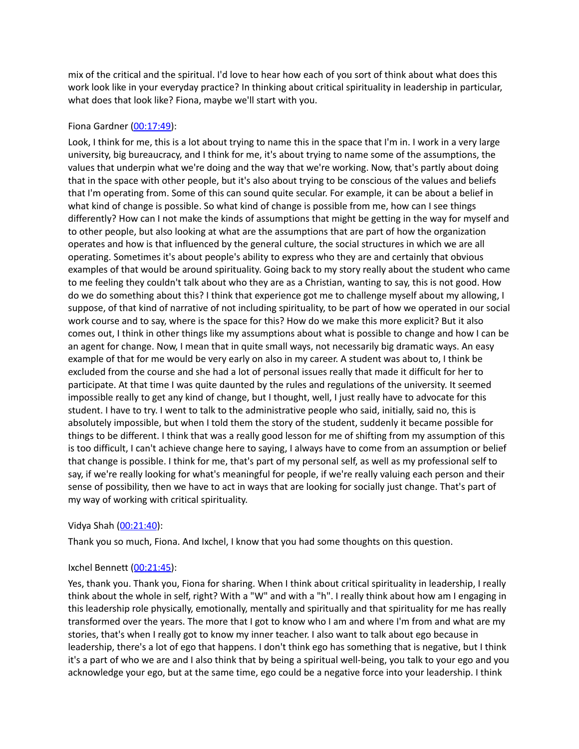mix of the critical and the spiritual. I'd love to hear how each of you sort of think about what does this work look like in your everyday practice? In thinking about critical spirituality in leadership in particular, what does that look like? Fiona, maybe we'll start with you.

# Fiona Gardner [\(00:17:49\)](https://www.temi.com/editor/t/Xu7vKnOF3KLRk42n7d1h3uHw07kAcbR5AhtM-G_OmrscEClEA9mefRyw92JOCUvRJcCK0tZfmdKsFi8JwNP_K5yaRMs?loadFrom=DocumentDeeplink&ts=1069.98):

Look, I think for me, this is a lot about trying to name this in the space that I'm in. I work in a very large university, big bureaucracy, and I think for me, it's about trying to name some of the assumptions, the values that underpin what we're doing and the way that we're working. Now, that's partly about doing that in the space with other people, but it's also about trying to be conscious of the values and beliefs that I'm operating from. Some of this can sound quite secular. For example, it can be about a belief in what kind of change is possible. So what kind of change is possible from me, how can I see things differently? How can I not make the kinds of assumptions that might be getting in the way for myself and to other people, but also looking at what are the assumptions that are part of how the organization operates and how is that influenced by the general culture, the social structures in which we are all operating. Sometimes it's about people's ability to express who they are and certainly that obvious examples of that would be around spirituality. Going back to my story really about the student who came to me feeling they couldn't talk about who they are as a Christian, wanting to say, this is not good. How do we do something about this? I think that experience got me to challenge myself about my allowing, I suppose, of that kind of narrative of not including spirituality, to be part of how we operated in our social work course and to say, where is the space for this? How do we make this more explicit? But it also comes out, I think in other things like my assumptions about what is possible to change and how I can be an agent for change. Now, I mean that in quite small ways, not necessarily big dramatic ways. An easy example of that for me would be very early on also in my career. A student was about to, I think be excluded from the course and she had a lot of personal issues really that made it difficult for her to participate. At that time I was quite daunted by the rules and regulations of the university. It seemed impossible really to get any kind of change, but I thought, well, I just really have to advocate for this student. I have to try. I went to talk to the administrative people who said, initially, said no, this is absolutely impossible, but when I told them the story of the student, suddenly it became possible for things to be different. I think that was a really good lesson for me of shifting from my assumption of this is too difficult, I can't achieve change here to saying, I always have to come from an assumption or belief that change is possible. I think for me, that's part of my personal self, as well as my professional self to say, if we're really looking for what's meaningful for people, if we're really valuing each person and their sense of possibility, then we have to act in ways that are looking for socially just change. That's part of my way of working with critical spirituality.

# Vidya Shah ([00:21:40](https://www.temi.com/editor/t/Xu7vKnOF3KLRk42n7d1h3uHw07kAcbR5AhtM-G_OmrscEClEA9mefRyw92JOCUvRJcCK0tZfmdKsFi8JwNP_K5yaRMs?loadFrom=DocumentDeeplink&ts=1300.92)):

Thank you so much, Fiona. And Ixchel, I know that you had some thoughts on this question.

# Ixchel Bennett ([00:21:45\)](https://www.temi.com/editor/t/Xu7vKnOF3KLRk42n7d1h3uHw07kAcbR5AhtM-G_OmrscEClEA9mefRyw92JOCUvRJcCK0tZfmdKsFi8JwNP_K5yaRMs?loadFrom=DocumentDeeplink&ts=1305.57):

Yes, thank you. Thank you, Fiona for sharing. When I think about critical spirituality in leadership, I really think about the whole in self, right? With a "W" and with a "h". I really think about how am I engaging in this leadership role physically, emotionally, mentally and spiritually and that spirituality for me has really transformed over the years. The more that I got to know who I am and where I'm from and what are my stories, that's when I really got to know my inner teacher. I also want to talk about ego because in leadership, there's a lot of ego that happens. I don't think ego has something that is negative, but I think it's a part of who we are and I also think that by being a spiritual well-being, you talk to your ego and you acknowledge your ego, but at the same time, ego could be a negative force into your leadership. I think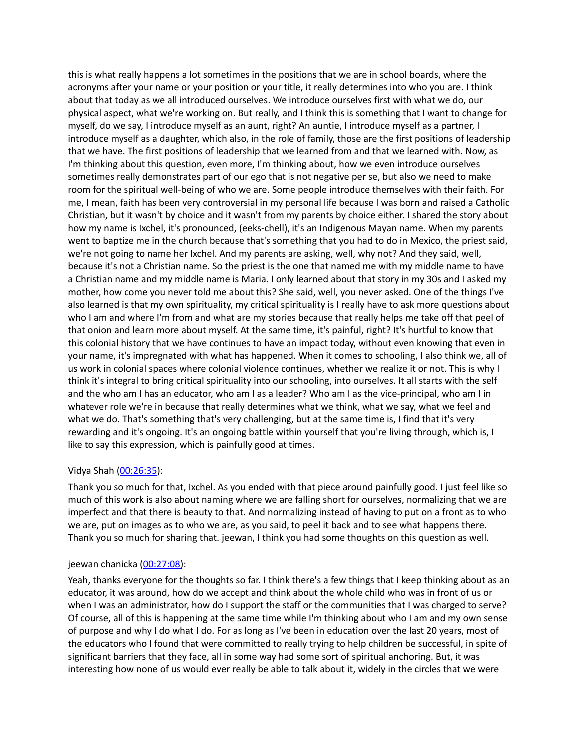this is what really happens a lot sometimes in the positions that we are in school boards, where the acronyms after your name or your position or your title, it really determines into who you are. I think about that today as we all introduced ourselves. We introduce ourselves first with what we do, our physical aspect, what we're working on. But really, and I think this is something that I want to change for myself, do we say, I introduce myself as an aunt, right? An auntie, I introduce myself as a partner, I introduce myself as a daughter, which also, in the role of family, those are the first positions of leadership that we have. The first positions of leadership that we learned from and that we learned with. Now, as I'm thinking about this question, even more, I'm thinking about, how we even introduce ourselves sometimes really demonstrates part of our ego that is not negative per se, but also we need to make room for the spiritual well-being of who we are. Some people introduce themselves with their faith. For me, I mean, faith has been very controversial in my personal life because I was born and raised a Catholic Christian, but it wasn't by choice and it wasn't from my parents by choice either. I shared the story about how my name is Ixchel, it's pronounced, (eeks-chell), it's an Indigenous Mayan name. When my parents went to baptize me in the church because that's something that you had to do in Mexico, the priest said, we're not going to name her Ixchel. And my parents are asking, well, why not? And they said, well, because it's not a Christian name. So the priest is the one that named me with my middle name to have a Christian name and my middle name is Maria. I only learned about that story in my 30s and I asked my mother, how come you never told me about this? She said, well, you never asked. One of the things I've also learned is that my own spirituality, my critical spirituality is I really have to ask more questions about who I am and where I'm from and what are my stories because that really helps me take off that peel of that onion and learn more about myself. At the same time, it's painful, right? It's hurtful to know that this colonial history that we have continues to have an impact today, without even knowing that even in your name, it's impregnated with what has happened. When it comes to schooling, I also think we, all of us work in colonial spaces where colonial violence continues, whether we realize it or not. This is why I think it's integral to bring critical spirituality into our schooling, into ourselves. It all starts with the self and the who am I has an educator, who am I as a leader? Who am I as the vice-principal, who am I in whatever role we're in because that really determines what we think, what we say, what we feel and what we do. That's something that's very challenging, but at the same time is, I find that it's very rewarding and it's ongoing. It's an ongoing battle within yourself that you're living through, which is, I like to say this expression, which is painfully good at times.

# Vidya Shah ([00:26:35](https://www.temi.com/editor/t/Xu7vKnOF3KLRk42n7d1h3uHw07kAcbR5AhtM-G_OmrscEClEA9mefRyw92JOCUvRJcCK0tZfmdKsFi8JwNP_K5yaRMs?loadFrom=DocumentDeeplink&ts=1595.14)):

Thank you so much for that, Ixchel. As you ended with that piece around painfully good. I just feel like so much of this work is also about naming where we are falling short for ourselves, normalizing that we are imperfect and that there is beauty to that. And normalizing instead of having to put on a front as to who we are, put on images as to who we are, as you said, to peel it back and to see what happens there. Thank you so much for sharing that. jeewan, I think you had some thoughts on this question as well.

## jeewan chanicka [\(00:27:08\)](https://www.temi.com/editor/t/Xu7vKnOF3KLRk42n7d1h3uHw07kAcbR5AhtM-G_OmrscEClEA9mefRyw92JOCUvRJcCK0tZfmdKsFi8JwNP_K5yaRMs?loadFrom=DocumentDeeplink&ts=1628.9):

Yeah, thanks everyone for the thoughts so far. I think there's a few things that I keep thinking about as an educator, it was around, how do we accept and think about the whole child who was in front of us or when I was an administrator, how do I support the staff or the communities that I was charged to serve? Of course, all of this is happening at the same time while I'm thinking about who I am and my own sense of purpose and why I do what I do. For as long as I've been in education over the last 20 years, most of the educators who I found that were committed to really trying to help children be successful, in spite of significant barriers that they face, all in some way had some sort of spiritual anchoring. But, it was interesting how none of us would ever really be able to talk about it, widely in the circles that we were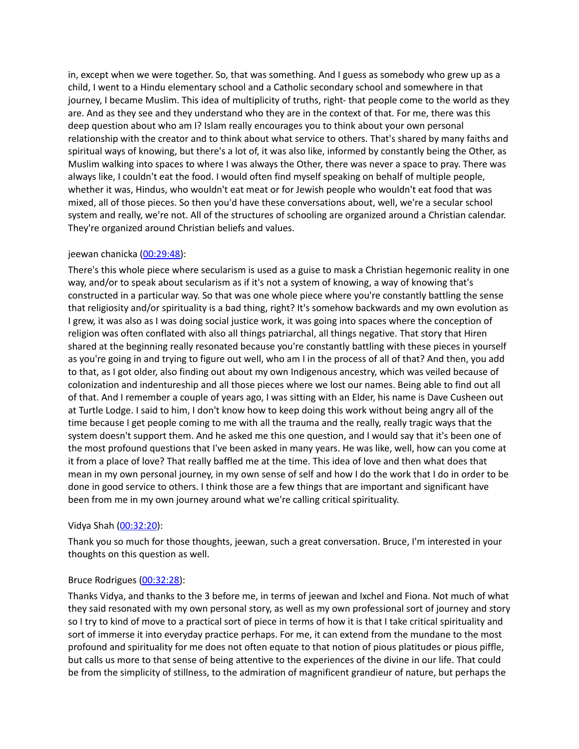in, except when we were together. So, that was something. And I guess as somebody who grew up as a child, I went to a Hindu elementary school and a Catholic secondary school and somewhere in that journey, I became Muslim. This idea of multiplicity of truths, right- that people come to the world as they are. And as they see and they understand who they are in the context of that. For me, there was this deep question about who am I? Islam really encourages you to think about your own personal relationship with the creator and to think about what service to others. That's shared by many faiths and spiritual ways of knowing, but there's a lot of, it was also like, informed by constantly being the Other, as Muslim walking into spaces to where I was always the Other, there was never a space to pray. There was always like, I couldn't eat the food. I would often find myself speaking on behalf of multiple people, whether it was, Hindus, who wouldn't eat meat or for Jewish people who wouldn't eat food that was mixed, all of those pieces. So then you'd have these conversations about, well, we're a secular school system and really, we're not. All of the structures of schooling are organized around a Christian calendar. They're organized around Christian beliefs and values.

# jeewan chanicka [\(00:29:48\)](https://www.temi.com/editor/t/Xu7vKnOF3KLRk42n7d1h3uHw07kAcbR5AhtM-G_OmrscEClEA9mefRyw92JOCUvRJcCK0tZfmdKsFi8JwNP_K5yaRMs?loadFrom=DocumentDeeplink&ts=1788.55):

There's this whole piece where secularism is used as a guise to mask a Christian hegemonic reality in one way, and/or to speak about secularism as if it's not a system of knowing, a way of knowing that's constructed in a particular way. So that was one whole piece where you're constantly battling the sense that religiosity and/or spirituality is a bad thing, right? It's somehow backwards and my own evolution as I grew, it was also as I was doing social justice work, it was going into spaces where the conception of religion was often conflated with also all things patriarchal, all things negative. That story that Hiren shared at the beginning really resonated because you're constantly battling with these pieces in yourself as you're going in and trying to figure out well, who am I in the process of all of that? And then, you add to that, as I got older, also finding out about my own Indigenous ancestry, which was veiled because of colonization and indentureship and all those pieces where we lost our names. Being able to find out all of that. And I remember a couple of years ago, I was sitting with an Elder, his name is Dave Cusheen out at Turtle Lodge. I said to him, I don't know how to keep doing this work without being angry all of the time because I get people coming to me with all the trauma and the really, really tragic ways that the system doesn't support them. And he asked me this one question, and I would say that it's been one of the most profound questions that I've been asked in many years. He was like, well, how can you come at it from a place of love? That really baffled me at the time. This idea of love and then what does that mean in my own personal journey, in my own sense of self and how I do the work that I do in order to be done in good service to others. I think those are a few things that are important and significant have been from me in my own journey around what we're calling critical spirituality.

# Vidya Shah ([00:32:20](https://www.temi.com/editor/t/Xu7vKnOF3KLRk42n7d1h3uHw07kAcbR5AhtM-G_OmrscEClEA9mefRyw92JOCUvRJcCK0tZfmdKsFi8JwNP_K5yaRMs?loadFrom=DocumentDeeplink&ts=1940.45)):

Thank you so much for those thoughts, jeewan, such a great conversation. Bruce, I'm interested in your thoughts on this question as well.

# Bruce Rodrigues [\(00:32:28\)](https://www.temi.com/editor/t/Xu7vKnOF3KLRk42n7d1h3uHw07kAcbR5AhtM-G_OmrscEClEA9mefRyw92JOCUvRJcCK0tZfmdKsFi8JwNP_K5yaRMs?loadFrom=DocumentDeeplink&ts=1948.73):

Thanks Vidya, and thanks to the 3 before me, in terms of jeewan and Ixchel and Fiona. Not much of what they said resonated with my own personal story, as well as my own professional sort of journey and story so I try to kind of move to a practical sort of piece in terms of how it is that I take critical spirituality and sort of immerse it into everyday practice perhaps. For me, it can extend from the mundane to the most profound and spirituality for me does not often equate to that notion of pious platitudes or pious piffle, but calls us more to that sense of being attentive to the experiences of the divine in our life. That could be from the simplicity of stillness, to the admiration of magnificent grandieur of nature, but perhaps the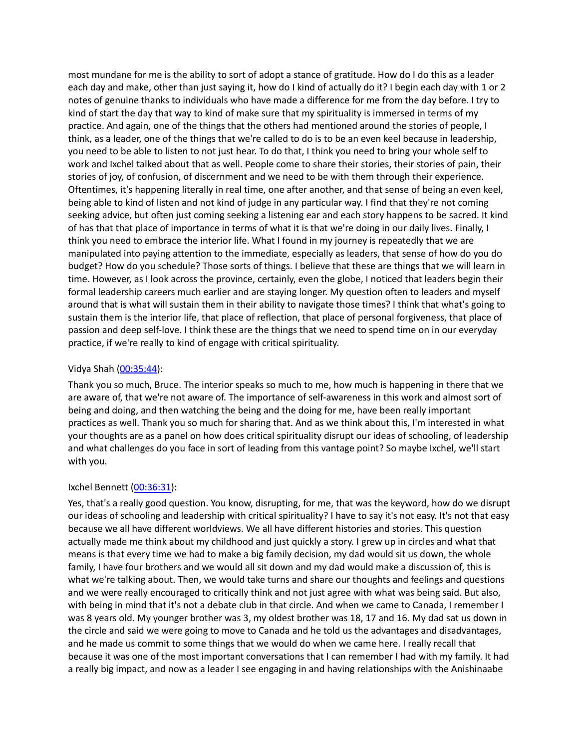most mundane for me is the ability to sort of adopt a stance of gratitude. How do I do this as a leader each day and make, other than just saying it, how do I kind of actually do it? I begin each day with 1 or 2 notes of genuine thanks to individuals who have made a difference for me from the day before. I try to kind of start the day that way to kind of make sure that my spirituality is immersed in terms of my practice. And again, one of the things that the others had mentioned around the stories of people, I think, as a leader, one of the things that we're called to do is to be an even keel because in leadership, you need to be able to listen to not just hear. To do that, I think you need to bring your whole self to work and Ixchel talked about that as well. People come to share their stories, their stories of pain, their stories of joy, of confusion, of discernment and we need to be with them through their experience. Oftentimes, it's happening literally in real time, one after another, and that sense of being an even keel, being able to kind of listen and not kind of judge in any particular way. I find that they're not coming seeking advice, but often just coming seeking a listening ear and each story happens to be sacred. It kind of has that that place of importance in terms of what it is that we're doing in our daily lives. Finally, I think you need to embrace the interior life. What I found in my journey is repeatedly that we are manipulated into paying attention to the immediate, especially as leaders, that sense of how do you do budget? How do you schedule? Those sorts of things. I believe that these are things that we will learn in time. However, as I look across the province, certainly, even the globe, I noticed that leaders begin their formal leadership careers much earlier and are staying longer. My question often to leaders and myself around that is what will sustain them in their ability to navigate those times? I think that what's going to sustain them is the interior life, that place of reflection, that place of personal forgiveness, that place of passion and deep self-love. I think these are the things that we need to spend time on in our everyday practice, if we're really to kind of engage with critical spirituality.

## Vidya Shah ([00:35:44](https://www.temi.com/editor/t/Xu7vKnOF3KLRk42n7d1h3uHw07kAcbR5AhtM-G_OmrscEClEA9mefRyw92JOCUvRJcCK0tZfmdKsFi8JwNP_K5yaRMs?loadFrom=DocumentDeeplink&ts=2144.31)):

Thank you so much, Bruce. The interior speaks so much to me, how much is happening in there that we are aware of, that we're not aware of. The importance of self-awareness in this work and almost sort of being and doing, and then watching the being and the doing for me, have been really important practices as well. Thank you so much for sharing that. And as we think about this, I'm interested in what your thoughts are as a panel on how does critical spirituality disrupt our ideas of schooling, of leadership and what challenges do you face in sort of leading from this vantage point? So maybe Ixchel, we'll start with you.

## Ixchel Bennett ([00:36:31\)](https://www.temi.com/editor/t/Xu7vKnOF3KLRk42n7d1h3uHw07kAcbR5AhtM-G_OmrscEClEA9mefRyw92JOCUvRJcCK0tZfmdKsFi8JwNP_K5yaRMs?loadFrom=DocumentDeeplink&ts=2191.31):

Yes, that's a really good question. You know, disrupting, for me, that was the keyword, how do we disrupt our ideas of schooling and leadership with critical spirituality? I have to say it's not easy. It's not that easy because we all have different worldviews. We all have different histories and stories. This question actually made me think about my childhood and just quickly a story. I grew up in circles and what that means is that every time we had to make a big family decision, my dad would sit us down, the whole family, I have four brothers and we would all sit down and my dad would make a discussion of, this is what we're talking about. Then, we would take turns and share our thoughts and feelings and questions and we were really encouraged to critically think and not just agree with what was being said. But also, with being in mind that it's not a debate club in that circle. And when we came to Canada, I remember I was 8 years old. My younger brother was 3, my oldest brother was 18, 17 and 16. My dad sat us down in the circle and said we were going to move to Canada and he told us the advantages and disadvantages, and he made us commit to some things that we would do when we came here. I really recall that because it was one of the most important conversations that I can remember I had with my family. It had a really big impact, and now as a leader I see engaging in and having relationships with the Anishinaabe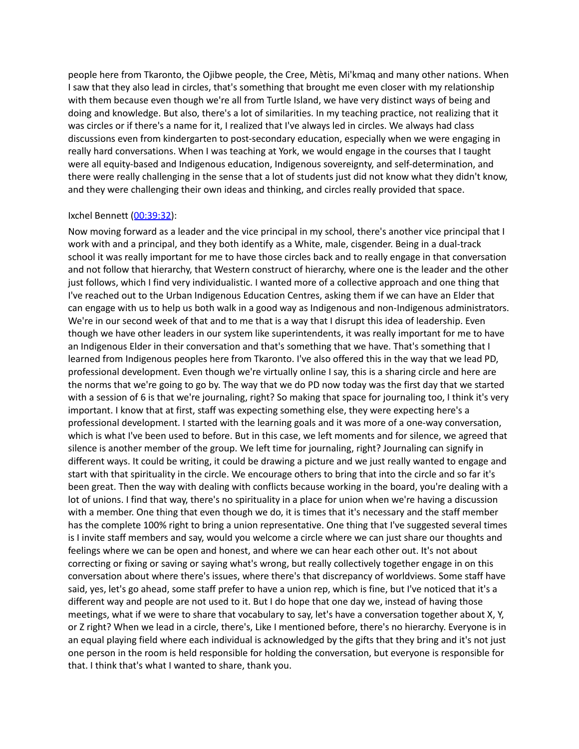people here from Tkaronto, the Ojibwe people, the Cree, Mètis, Mi'kmaq and many other nations. When I saw that they also lead in circles, that's something that brought me even closer with my relationship with them because even though we're all from Turtle Island, we have very distinct ways of being and doing and knowledge. But also, there's a lot of similarities. In my teaching practice, not realizing that it was circles or if there's a name for it, I realized that I've always led in circles. We always had class discussions even from kindergarten to post-secondary education, especially when we were engaging in really hard conversations. When I was teaching at York, we would engage in the courses that I taught were all equity-based and Indigenous education, Indigenous sovereignty, and self-determination, and there were really challenging in the sense that a lot of students just did not know what they didn't know, and they were challenging their own ideas and thinking, and circles really provided that space.

#### Ixchel Bennett ([00:39:32\)](https://www.temi.com/editor/t/Xu7vKnOF3KLRk42n7d1h3uHw07kAcbR5AhtM-G_OmrscEClEA9mefRyw92JOCUvRJcCK0tZfmdKsFi8JwNP_K5yaRMs?loadFrom=DocumentDeeplink&ts=2372.77):

Now moving forward as a leader and the vice principal in my school, there's another vice principal that I work with and a principal, and they both identify as a White, male, cisgender. Being in a dual-track school it was really important for me to have those circles back and to really engage in that conversation and not follow that hierarchy, that Western construct of hierarchy, where one is the leader and the other just follows, which I find very individualistic. I wanted more of a collective approach and one thing that I've reached out to the Urban Indigenous Education Centres, asking them if we can have an Elder that can engage with us to help us both walk in a good way as Indigenous and non-Indigenous administrators. We're in our second week of that and to me that is a way that I disrupt this idea of leadership. Even though we have other leaders in our system like superintendents, it was really important for me to have an Indigenous Elder in their conversation and that's something that we have. That's something that I learned from Indigenous peoples here from Tkaronto. I've also offered this in the way that we lead PD, professional development. Even though we're virtually online I say, this is a sharing circle and here are the norms that we're going to go by. The way that we do PD now today was the first day that we started with a session of 6 is that we're journaling, right? So making that space for journaling too, I think it's very important. I know that at first, staff was expecting something else, they were expecting here's a professional development. I started with the learning goals and it was more of a one-way conversation, which is what I've been used to before. But in this case, we left moments and for silence, we agreed that silence is another member of the group. We left time for journaling, right? Journaling can signify in different ways. It could be writing, it could be drawing a picture and we just really wanted to engage and start with that spirituality in the circle. We encourage others to bring that into the circle and so far it's been great. Then the way with dealing with conflicts because working in the board, you're dealing with a lot of unions. I find that way, there's no spirituality in a place for union when we're having a discussion with a member. One thing that even though we do, it is times that it's necessary and the staff member has the complete 100% right to bring a union representative. One thing that I've suggested several times is I invite staff members and say, would you welcome a circle where we can just share our thoughts and feelings where we can be open and honest, and where we can hear each other out. It's not about correcting or fixing or saving or saying what's wrong, but really collectively together engage in on this conversation about where there's issues, where there's that discrepancy of worldviews. Some staff have said, yes, let's go ahead, some staff prefer to have a union rep, which is fine, but I've noticed that it's a different way and people are not used to it. But I do hope that one day we, instead of having those meetings, what if we were to share that vocabulary to say, let's have a conversation together about X, Y, or Z right? When we lead in a circle, there's, Like I mentioned before, there's no hierarchy. Everyone is in an equal playing field where each individual is acknowledged by the gifts that they bring and it's not just one person in the room is held responsible for holding the conversation, but everyone is responsible for that. I think that's what I wanted to share, thank you.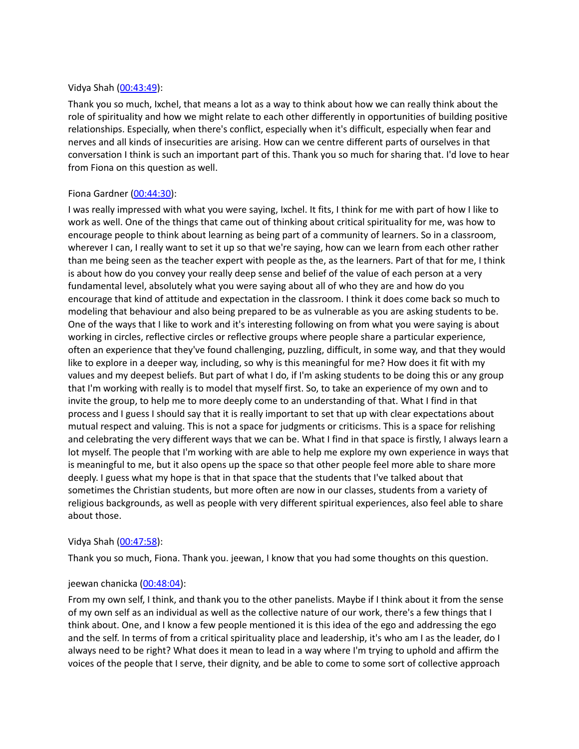## Vidya Shah ([00:43:49](https://www.temi.com/editor/t/Xu7vKnOF3KLRk42n7d1h3uHw07kAcbR5AhtM-G_OmrscEClEA9mefRyw92JOCUvRJcCK0tZfmdKsFi8JwNP_K5yaRMs?loadFrom=DocumentDeeplink&ts=2629.66)):

Thank you so much, Ixchel, that means a lot as a way to think about how we can really think about the role of spirituality and how we might relate to each other differently in opportunities of building positive relationships. Especially, when there's conflict, especially when it's difficult, especially when fear and nerves and all kinds of insecurities are arising. How can we centre different parts of ourselves in that conversation I think is such an important part of this. Thank you so much for sharing that. I'd love to hear from Fiona on this question as well.

## Fiona Gardner [\(00:44:30\)](https://www.temi.com/editor/t/Xu7vKnOF3KLRk42n7d1h3uHw07kAcbR5AhtM-G_OmrscEClEA9mefRyw92JOCUvRJcCK0tZfmdKsFi8JwNP_K5yaRMs?loadFrom=DocumentDeeplink&ts=2670.72):

I was really impressed with what you were saying, Ixchel. It fits, I think for me with part of how I like to work as well. One of the things that came out of thinking about critical spirituality for me, was how to encourage people to think about learning as being part of a community of learners. So in a classroom, wherever I can, I really want to set it up so that we're saying, how can we learn from each other rather than me being seen as the teacher expert with people as the, as the learners. Part of that for me, I think is about how do you convey your really deep sense and belief of the value of each person at a very fundamental level, absolutely what you were saying about all of who they are and how do you encourage that kind of attitude and expectation in the classroom. I think it does come back so much to modeling that behaviour and also being prepared to be as vulnerable as you are asking students to be. One of the ways that I like to work and it's interesting following on from what you were saying is about working in circles, reflective circles or reflective groups where people share a particular experience, often an experience that they've found challenging, puzzling, difficult, in some way, and that they would like to explore in a deeper way, including, so why is this meaningful for me? How does it fit with my values and my deepest beliefs. But part of what I do, if I'm asking students to be doing this or any group that I'm working with really is to model that myself first. So, to take an experience of my own and to invite the group, to help me to more deeply come to an understanding of that. What I find in that process and I guess I should say that it is really important to set that up with clear expectations about mutual respect and valuing. This is not a space for judgments or criticisms. This is a space for relishing and celebrating the very different ways that we can be. What I find in that space is firstly, I always learn a lot myself. The people that I'm working with are able to help me explore my own experience in ways that is meaningful to me, but it also opens up the space so that other people feel more able to share more deeply. I guess what my hope is that in that space that the students that I've talked about that sometimes the Christian students, but more often are now in our classes, students from a variety of religious backgrounds, as well as people with very different spiritual experiences, also feel able to share about those.

## Vidya Shah ([00:47:58](https://www.temi.com/editor/t/Xu7vKnOF3KLRk42n7d1h3uHw07kAcbR5AhtM-G_OmrscEClEA9mefRyw92JOCUvRJcCK0tZfmdKsFi8JwNP_K5yaRMs?loadFrom=DocumentDeeplink&ts=2878.09)):

Thank you so much, Fiona. Thank you. jeewan, I know that you had some thoughts on this question.

# jeewan chanicka [\(00:48:04\)](https://www.temi.com/editor/t/Xu7vKnOF3KLRk42n7d1h3uHw07kAcbR5AhtM-G_OmrscEClEA9mefRyw92JOCUvRJcCK0tZfmdKsFi8JwNP_K5yaRMs?loadFrom=DocumentDeeplink&ts=2884.2):

From my own self, I think, and thank you to the other panelists. Maybe if I think about it from the sense of my own self as an individual as well as the collective nature of our work, there's a few things that I think about. One, and I know a few people mentioned it is this idea of the ego and addressing the ego and the self. In terms of from a critical spirituality place and leadership, it's who am I as the leader, do I always need to be right? What does it mean to lead in a way where I'm trying to uphold and affirm the voices of the people that I serve, their dignity, and be able to come to some sort of collective approach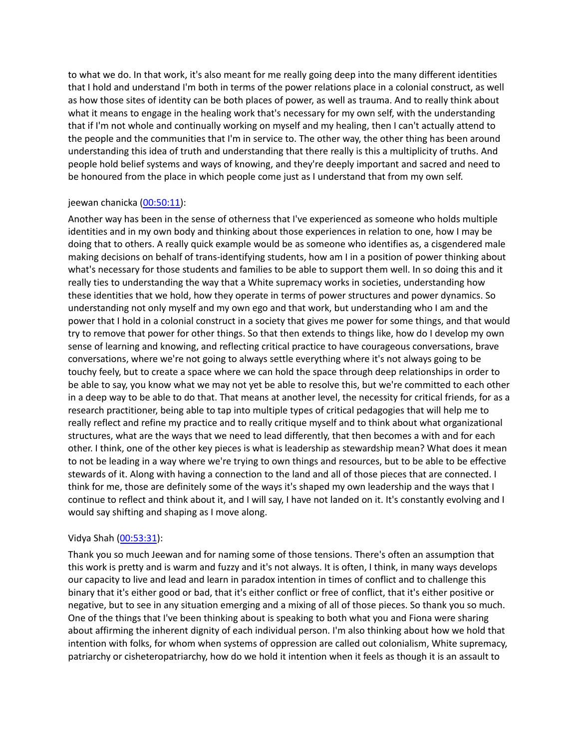to what we do. In that work, it's also meant for me really going deep into the many different identities that I hold and understand I'm both in terms of the power relations place in a colonial construct, as well as how those sites of identity can be both places of power, as well as trauma. And to really think about what it means to engage in the healing work that's necessary for my own self, with the understanding that if I'm not whole and continually working on myself and my healing, then I can't actually attend to the people and the communities that I'm in service to. The other way, the other thing has been around understanding this idea of truth and understanding that there really is this a multiplicity of truths. And people hold belief systems and ways of knowing, and they're deeply important and sacred and need to be honoured from the place in which people come just as I understand that from my own self.

# jeewan chanicka [\(00:50:11\)](https://www.temi.com/editor/t/Xu7vKnOF3KLRk42n7d1h3uHw07kAcbR5AhtM-G_OmrscEClEA9mefRyw92JOCUvRJcCK0tZfmdKsFi8JwNP_K5yaRMs?loadFrom=DocumentDeeplink&ts=3011.76):

Another way has been in the sense of otherness that I've experienced as someone who holds multiple identities and in my own body and thinking about those experiences in relation to one, how I may be doing that to others. A really quick example would be as someone who identifies as, a cisgendered male making decisions on behalf of trans-identifying students, how am I in a position of power thinking about what's necessary for those students and families to be able to support them well. In so doing this and it really ties to understanding the way that a White supremacy works in societies, understanding how these identities that we hold, how they operate in terms of power structures and power dynamics. So understanding not only myself and my own ego and that work, but understanding who I am and the power that I hold in a colonial construct in a society that gives me power for some things, and that would try to remove that power for other things. So that then extends to things like, how do I develop my own sense of learning and knowing, and reflecting critical practice to have courageous conversations, brave conversations, where we're not going to always settle everything where it's not always going to be touchy feely, but to create a space where we can hold the space through deep relationships in order to be able to say, you know what we may not yet be able to resolve this, but we're committed to each other in a deep way to be able to do that. That means at another level, the necessity for critical friends, for as a research practitioner, being able to tap into multiple types of critical pedagogies that will help me to really reflect and refine my practice and to really critique myself and to think about what organizational structures, what are the ways that we need to lead differently, that then becomes a with and for each other. I think, one of the other key pieces is what is leadership as stewardship mean? What does it mean to not be leading in a way where we're trying to own things and resources, but to be able to be effective stewards of it. Along with having a connection to the land and all of those pieces that are connected. I think for me, those are definitely some of the ways it's shaped my own leadership and the ways that I continue to reflect and think about it, and I will say, I have not landed on it. It's constantly evolving and I would say shifting and shaping as I move along.

## Vidya Shah ([00:53:31](https://www.temi.com/editor/t/Xu7vKnOF3KLRk42n7d1h3uHw07kAcbR5AhtM-G_OmrscEClEA9mefRyw92JOCUvRJcCK0tZfmdKsFi8JwNP_K5yaRMs?loadFrom=DocumentDeeplink&ts=3211.45)):

Thank you so much Jeewan and for naming some of those tensions. There's often an assumption that this work is pretty and is warm and fuzzy and it's not always. It is often, I think, in many ways develops our capacity to live and lead and learn in paradox intention in times of conflict and to challenge this binary that it's either good or bad, that it's either conflict or free of conflict, that it's either positive or negative, but to see in any situation emerging and a mixing of all of those pieces. So thank you so much. One of the things that I've been thinking about is speaking to both what you and Fiona were sharing about affirming the inherent dignity of each individual person. I'm also thinking about how we hold that intention with folks, for whom when systems of oppression are called out colonialism, White supremacy, patriarchy or cisheteropatriarchy, how do we hold it intention when it feels as though it is an assault to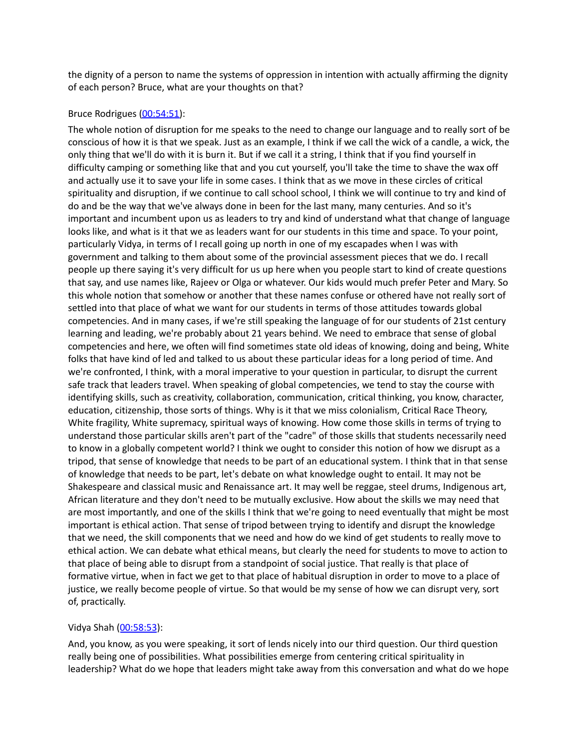the dignity of a person to name the systems of oppression in intention with actually affirming the dignity of each person? Bruce, what are your thoughts on that?

## Bruce Rodrigues [\(00:54:51\)](https://www.temi.com/editor/t/Xu7vKnOF3KLRk42n7d1h3uHw07kAcbR5AhtM-G_OmrscEClEA9mefRyw92JOCUvRJcCK0tZfmdKsFi8JwNP_K5yaRMs?loadFrom=DocumentDeeplink&ts=3291.78):

The whole notion of disruption for me speaks to the need to change our language and to really sort of be conscious of how it is that we speak. Just as an example, I think if we call the wick of a candle, a wick, the only thing that we'll do with it is burn it. But if we call it a string, I think that if you find yourself in difficulty camping or something like that and you cut yourself, you'll take the time to shave the wax off and actually use it to save your life in some cases. I think that as we move in these circles of critical spirituality and disruption, if we continue to call school school, I think we will continue to try and kind of do and be the way that we've always done in been for the last many, many centuries. And so it's important and incumbent upon us as leaders to try and kind of understand what that change of language looks like, and what is it that we as leaders want for our students in this time and space. To your point, particularly Vidya, in terms of I recall going up north in one of my escapades when I was with government and talking to them about some of the provincial assessment pieces that we do. I recall people up there saying it's very difficult for us up here when you people start to kind of create questions that say, and use names like, Rajeev or Olga or whatever. Our kids would much prefer Peter and Mary. So this whole notion that somehow or another that these names confuse or othered have not really sort of settled into that place of what we want for our students in terms of those attitudes towards global competencies. And in many cases, if we're still speaking the language of for our students of 21st century learning and leading, we're probably about 21 years behind. We need to embrace that sense of global competencies and here, we often will find sometimes state old ideas of knowing, doing and being, White folks that have kind of led and talked to us about these particular ideas for a long period of time. And we're confronted, I think, with a moral imperative to your question in particular, to disrupt the current safe track that leaders travel. When speaking of global competencies, we tend to stay the course with identifying skills, such as creativity, collaboration, communication, critical thinking, you know, character, education, citizenship, those sorts of things. Why is it that we miss colonialism, Critical Race Theory, White fragility, White supremacy, spiritual ways of knowing. How come those skills in terms of trying to understand those particular skills aren't part of the "cadre" of those skills that students necessarily need to know in a globally competent world? I think we ought to consider this notion of how we disrupt as a tripod, that sense of knowledge that needs to be part of an educational system. I think that in that sense of knowledge that needs to be part, let's debate on what knowledge ought to entail. It may not be Shakespeare and classical music and Renaissance art. It may well be reggae, steel drums, Indigenous art, African literature and they don't need to be mutually exclusive. How about the skills we may need that are most importantly, and one of the skills I think that we're going to need eventually that might be most important is ethical action. That sense of tripod between trying to identify and disrupt the knowledge that we need, the skill components that we need and how do we kind of get students to really move to ethical action. We can debate what ethical means, but clearly the need for students to move to action to that place of being able to disrupt from a standpoint of social justice. That really is that place of formative virtue, when in fact we get to that place of habitual disruption in order to move to a place of justice, we really become people of virtue. So that would be my sense of how we can disrupt very, sort of, practically.

#### Vidya Shah ([00:58:53](https://www.temi.com/editor/t/Xu7vKnOF3KLRk42n7d1h3uHw07kAcbR5AhtM-G_OmrscEClEA9mefRyw92JOCUvRJcCK0tZfmdKsFi8JwNP_K5yaRMs?loadFrom=DocumentDeeplink&ts=3533.04)):

And, you know, as you were speaking, it sort of lends nicely into our third question. Our third question really being one of possibilities. What possibilities emerge from centering critical spirituality in leadership? What do we hope that leaders might take away from this conversation and what do we hope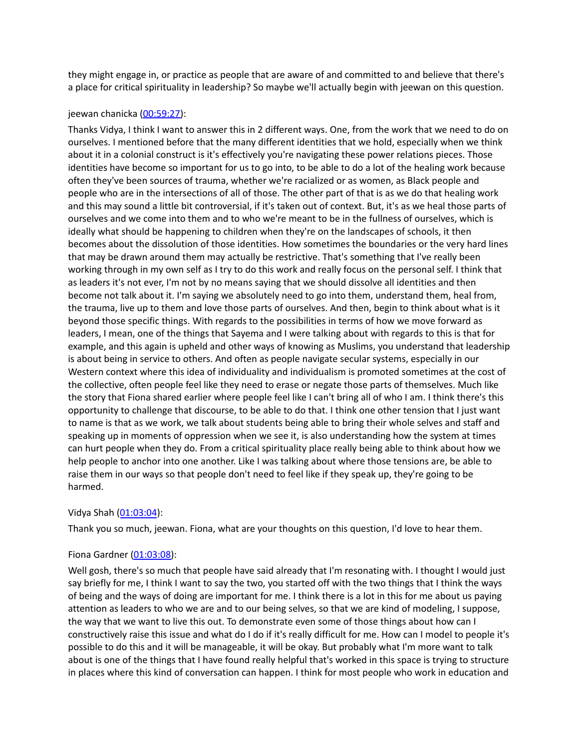they might engage in, or practice as people that are aware of and committed to and believe that there's a place for critical spirituality in leadership? So maybe we'll actually begin with jeewan on this question.

#### jeewan chanicka [\(00:59:27\)](https://www.temi.com/editor/t/Xu7vKnOF3KLRk42n7d1h3uHw07kAcbR5AhtM-G_OmrscEClEA9mefRyw92JOCUvRJcCK0tZfmdKsFi8JwNP_K5yaRMs?loadFrom=DocumentDeeplink&ts=3567.4):

Thanks Vidya, I think I want to answer this in 2 different ways. One, from the work that we need to do on ourselves. I mentioned before that the many different identities that we hold, especially when we think about it in a colonial construct is it's effectively you're navigating these power relations pieces. Those identities have become so important for us to go into, to be able to do a lot of the healing work because often they've been sources of trauma, whether we're racialized or as women, as Black people and people who are in the intersections of all of those. The other part of that is as we do that healing work and this may sound a little bit controversial, if it's taken out of context. But, it's as we heal those parts of ourselves and we come into them and to who we're meant to be in the fullness of ourselves, which is ideally what should be happening to children when they're on the landscapes of schools, it then becomes about the dissolution of those identities. How sometimes the boundaries or the very hard lines that may be drawn around them may actually be restrictive. That's something that I've really been working through in my own self as I try to do this work and really focus on the personal self. I think that as leaders it's not ever, I'm not by no means saying that we should dissolve all identities and then become not talk about it. I'm saying we absolutely need to go into them, understand them, heal from, the trauma, live up to them and love those parts of ourselves. And then, begin to think about what is it beyond those specific things. With regards to the possibilities in terms of how we move forward as leaders, I mean, one of the things that Sayema and I were talking about with regards to this is that for example, and this again is upheld and other ways of knowing as Muslims, you understand that leadership is about being in service to others. And often as people navigate secular systems, especially in our Western context where this idea of individuality and individualism is promoted sometimes at the cost of the collective, often people feel like they need to erase or negate those parts of themselves. Much like the story that Fiona shared earlier where people feel like I can't bring all of who I am. I think there's this opportunity to challenge that discourse, to be able to do that. I think one other tension that I just want to name is that as we work, we talk about students being able to bring their whole selves and staff and speaking up in moments of oppression when we see it, is also understanding how the system at times can hurt people when they do. From a critical spirituality place really being able to think about how we help people to anchor into one another. Like I was talking about where those tensions are, be able to raise them in our ways so that people don't need to feel like if they speak up, they're going to be harmed.

## Vidya Shah ([01:03:04](https://www.temi.com/editor/t/Xu7vKnOF3KLRk42n7d1h3uHw07kAcbR5AhtM-G_OmrscEClEA9mefRyw92JOCUvRJcCK0tZfmdKsFi8JwNP_K5yaRMs?loadFrom=DocumentDeeplink&ts=3784.71)):

Thank you so much, jeewan. Fiona, what are your thoughts on this question, I'd love to hear them.

## Fiona Gardner [\(01:03:08\)](https://www.temi.com/editor/t/Xu7vKnOF3KLRk42n7d1h3uHw07kAcbR5AhtM-G_OmrscEClEA9mefRyw92JOCUvRJcCK0tZfmdKsFi8JwNP_K5yaRMs?loadFrom=DocumentDeeplink&ts=3788.99):

Well gosh, there's so much that people have said already that I'm resonating with. I thought I would just say briefly for me, I think I want to say the two, you started off with the two things that I think the ways of being and the ways of doing are important for me. I think there is a lot in this for me about us paying attention as leaders to who we are and to our being selves, so that we are kind of modeling, I suppose, the way that we want to live this out. To demonstrate even some of those things about how can I constructively raise this issue and what do I do if it's really difficult for me. How can I model to people it's possible to do this and it will be manageable, it will be okay. But probably what I'm more want to talk about is one of the things that I have found really helpful that's worked in this space is trying to structure in places where this kind of conversation can happen. I think for most people who work in education and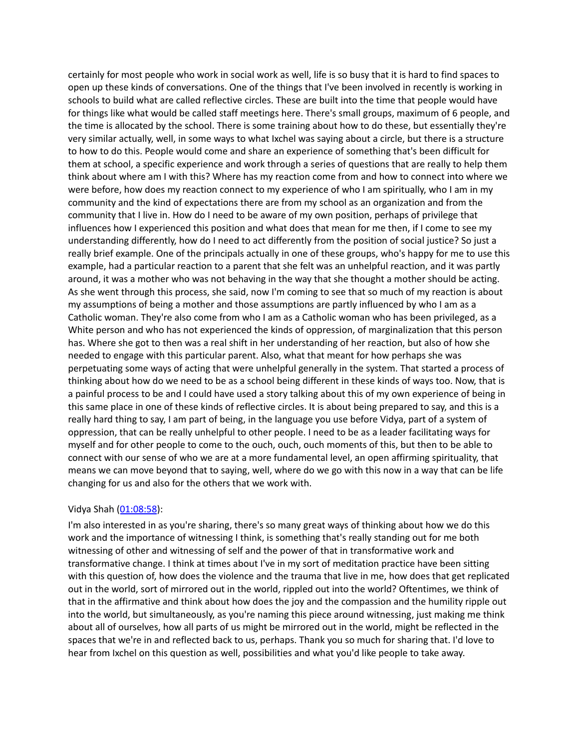certainly for most people who work in social work as well, life is so busy that it is hard to find spaces to open up these kinds of conversations. One of the things that I've been involved in recently is working in schools to build what are called reflective circles. These are built into the time that people would have for things like what would be called staff meetings here. There's small groups, maximum of 6 people, and the time is allocated by the school. There is some training about how to do these, but essentially they're very similar actually, well, in some ways to what Ixchel was saying about a circle, but there is a structure to how to do this. People would come and share an experience of something that's been difficult for them at school, a specific experience and work through a series of questions that are really to help them think about where am I with this? Where has my reaction come from and how to connect into where we were before, how does my reaction connect to my experience of who I am spiritually, who I am in my community and the kind of expectations there are from my school as an organization and from the community that I live in. How do I need to be aware of my own position, perhaps of privilege that influences how I experienced this position and what does that mean for me then, if I come to see my understanding differently, how do I need to act differently from the position of social justice? So just a really brief example. One of the principals actually in one of these groups, who's happy for me to use this example, had a particular reaction to a parent that she felt was an unhelpful reaction, and it was partly around, it was a mother who was not behaving in the way that she thought a mother should be acting. As she went through this process, she said, now I'm coming to see that so much of my reaction is about my assumptions of being a mother and those assumptions are partly influenced by who I am as a Catholic woman. They're also come from who I am as a Catholic woman who has been privileged, as a White person and who has not experienced the kinds of oppression, of marginalization that this person has. Where she got to then was a real shift in her understanding of her reaction, but also of how she needed to engage with this particular parent. Also, what that meant for how perhaps she was perpetuating some ways of acting that were unhelpful generally in the system. That started a process of thinking about how do we need to be as a school being different in these kinds of ways too. Now, that is a painful process to be and I could have used a story talking about this of my own experience of being in this same place in one of these kinds of reflective circles. It is about being prepared to say, and this is a really hard thing to say, I am part of being, in the language you use before Vidya, part of a system of oppression, that can be really unhelpful to other people. I need to be as a leader facilitating ways for myself and for other people to come to the ouch, ouch, ouch moments of this, but then to be able to connect with our sense of who we are at a more fundamental level, an open affirming spirituality, that means we can move beyond that to saying, well, where do we go with this now in a way that can be life changing for us and also for the others that we work with.

## Vidya Shah ([01:08:58](https://www.temi.com/editor/t/Xu7vKnOF3KLRk42n7d1h3uHw07kAcbR5AhtM-G_OmrscEClEA9mefRyw92JOCUvRJcCK0tZfmdKsFi8JwNP_K5yaRMs?loadFrom=DocumentDeeplink&ts=4138.33)):

I'm also interested in as you're sharing, there's so many great ways of thinking about how we do this work and the importance of witnessing I think, is something that's really standing out for me both witnessing of other and witnessing of self and the power of that in transformative work and transformative change. I think at times about I've in my sort of meditation practice have been sitting with this question of, how does the violence and the trauma that live in me, how does that get replicated out in the world, sort of mirrored out in the world, rippled out into the world? Oftentimes, we think of that in the affirmative and think about how does the joy and the compassion and the humility ripple out into the world, but simultaneously, as you're naming this piece around witnessing, just making me think about all of ourselves, how all parts of us might be mirrored out in the world, might be reflected in the spaces that we're in and reflected back to us, perhaps. Thank you so much for sharing that. I'd love to hear from Ixchel on this question as well, possibilities and what you'd like people to take away.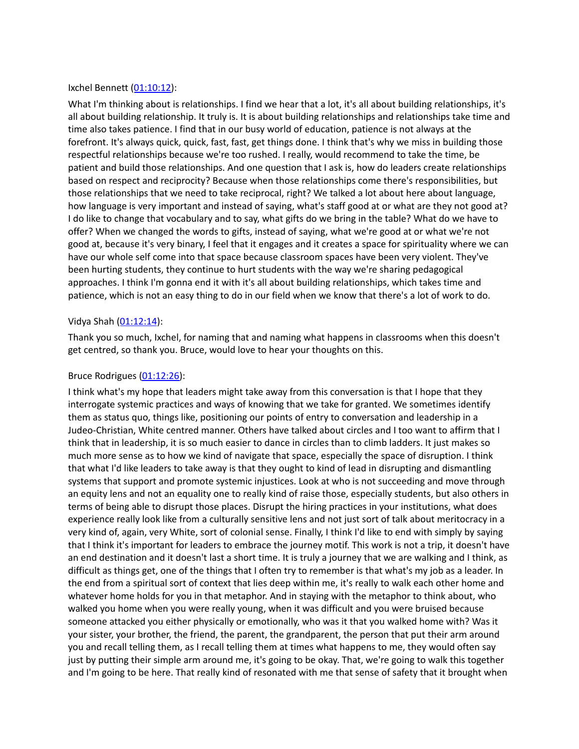## Ixchel Bennett ([01:10:12\)](https://www.temi.com/editor/t/Xu7vKnOF3KLRk42n7d1h3uHw07kAcbR5AhtM-G_OmrscEClEA9mefRyw92JOCUvRJcCK0tZfmdKsFi8JwNP_K5yaRMs?loadFrom=DocumentDeeplink&ts=4212.59):

What I'm thinking about is relationships. I find we hear that a lot, it's all about building relationships, it's all about building relationship. It truly is. It is about building relationships and relationships take time and time also takes patience. I find that in our busy world of education, patience is not always at the forefront. It's always quick, quick, fast, fast, get things done. I think that's why we miss in building those respectful relationships because we're too rushed. I really, would recommend to take the time, be patient and build those relationships. And one question that I ask is, how do leaders create relationships based on respect and reciprocity? Because when those relationships come there's responsibilities, but those relationships that we need to take reciprocal, right? We talked a lot about here about language, how language is very important and instead of saying, what's staff good at or what are they not good at? I do like to change that vocabulary and to say, what gifts do we bring in the table? What do we have to offer? When we changed the words to gifts, instead of saying, what we're good at or what we're not good at, because it's very binary, I feel that it engages and it creates a space for spirituality where we can have our whole self come into that space because classroom spaces have been very violent. They've been hurting students, they continue to hurt students with the way we're sharing pedagogical approaches. I think I'm gonna end it with it's all about building relationships, which takes time and patience, which is not an easy thing to do in our field when we know that there's a lot of work to do.

#### Vidya Shah ([01:12:14](https://www.temi.com/editor/t/Xu7vKnOF3KLRk42n7d1h3uHw07kAcbR5AhtM-G_OmrscEClEA9mefRyw92JOCUvRJcCK0tZfmdKsFi8JwNP_K5yaRMs?loadFrom=DocumentDeeplink&ts=4334.46)):

Thank you so much, Ixchel, for naming that and naming what happens in classrooms when this doesn't get centred, so thank you. Bruce, would love to hear your thoughts on this.

#### Bruce Rodrigues [\(01:12:26\)](https://www.temi.com/editor/t/Xu7vKnOF3KLRk42n7d1h3uHw07kAcbR5AhtM-G_OmrscEClEA9mefRyw92JOCUvRJcCK0tZfmdKsFi8JwNP_K5yaRMs?loadFrom=DocumentDeeplink&ts=4346.66):

I think what's my hope that leaders might take away from this conversation is that I hope that they interrogate systemic practices and ways of knowing that we take for granted. We sometimes identify them as status quo, things like, positioning our points of entry to conversation and leadership in a Judeo-Christian, White centred manner. Others have talked about circles and I too want to affirm that I think that in leadership, it is so much easier to dance in circles than to climb ladders. It just makes so much more sense as to how we kind of navigate that space, especially the space of disruption. I think that what I'd like leaders to take away is that they ought to kind of lead in disrupting and dismantling systems that support and promote systemic injustices. Look at who is not succeeding and move through an equity lens and not an equality one to really kind of raise those, especially students, but also others in terms of being able to disrupt those places. Disrupt the hiring practices in your institutions, what does experience really look like from a culturally sensitive lens and not just sort of talk about meritocracy in a very kind of, again, very White, sort of colonial sense. Finally, I think I'd like to end with simply by saying that I think it's important for leaders to embrace the journey motif. This work is not a trip, it doesn't have an end destination and it doesn't last a short time. It is truly a journey that we are walking and I think, as difficult as things get, one of the things that I often try to remember is that what's my job as a leader. In the end from a spiritual sort of context that lies deep within me, it's really to walk each other home and whatever home holds for you in that metaphor. And in staying with the metaphor to think about, who walked you home when you were really young, when it was difficult and you were bruised because someone attacked you either physically or emotionally, who was it that you walked home with? Was it your sister, your brother, the friend, the parent, the grandparent, the person that put their arm around you and recall telling them, as I recall telling them at times what happens to me, they would often say just by putting their simple arm around me, it's going to be okay. That, we're going to walk this together and I'm going to be here. That really kind of resonated with me that sense of safety that it brought when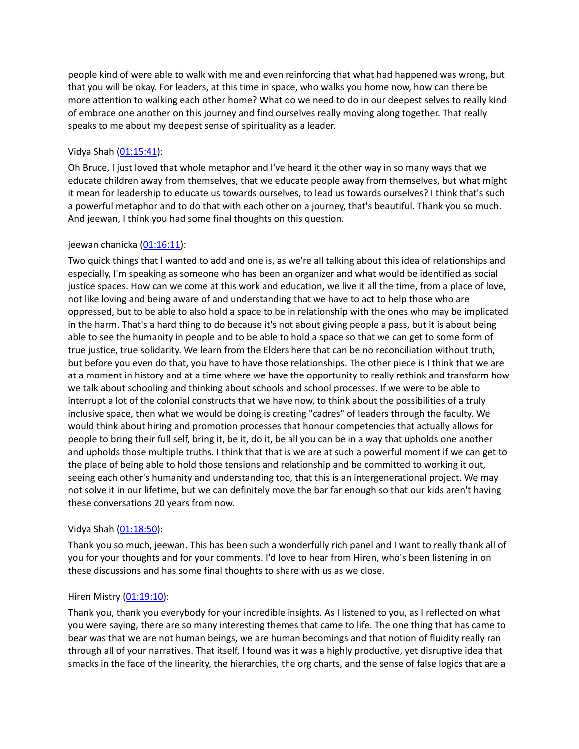people kind of were able to walk with me and even reinforcing that what had happened was wrong, but that you will be okay. For leaders, at this time in space, who walks you home now, how can there be more attention to walking each other home? What do we need to do in our deepest selves to really kind of embrace one another on this journey and find ourselves really moving along together. That really speaks to me about my deepest sense of spirituality as a leader.

## Vidya Shah ([01:15:41](https://www.temi.com/editor/t/Xu7vKnOF3KLRk42n7d1h3uHw07kAcbR5AhtM-G_OmrscEClEA9mefRyw92JOCUvRJcCK0tZfmdKsFi8JwNP_K5yaRMs?loadFrom=DocumentDeeplink&ts=4541.61)):

Oh Bruce, I just loved that whole metaphor and I've heard it the other way in so many ways that we educate children away from themselves, that we educate people away from themselves, but what might it mean for leadership to educate us towards ourselves, to lead us towards ourselves? I think that's such a powerful metaphor and to do that with each other on a journey, that's beautiful. Thank you so much. And jeewan, I think you had some final thoughts on this question.

## jeewan chanicka [\(01:16:11\)](https://www.temi.com/editor/t/Xu7vKnOF3KLRk42n7d1h3uHw07kAcbR5AhtM-G_OmrscEClEA9mefRyw92JOCUvRJcCK0tZfmdKsFi8JwNP_K5yaRMs?loadFrom=DocumentDeeplink&ts=4571.88):

Two quick things that I wanted to add and one is, as we're all talking about this idea of relationships and especially, I'm speaking as someone who has been an organizer and what would be identified as social justice spaces. How can we come at this work and education, we live it all the time, from a place of love, not like loving and being aware of and understanding that we have to act to help those who are oppressed, but to be able to also hold a space to be in relationship with the ones who may be implicated in the harm. That's a hard thing to do because it's not about giving people a pass, but it is about being able to see the humanity in people and to be able to hold a space so that we can get to some form of true justice, true solidarity. We learn from the Elders here that can be no reconciliation without truth, but before you even do that, you have to have those relationships. The other piece is I think that we are at a moment in history and at a time where we have the opportunity to really rethink and transform how we talk about schooling and thinking about schools and school processes. If we were to be able to interrupt a lot of the colonial constructs that we have now, to think about the possibilities of a truly inclusive space, then what we would be doing is creating "cadres" of leaders through the faculty. We would think about hiring and promotion processes that honour competencies that actually allows for people to bring their full self, bring it, be it, do it, be all you can be in a way that upholds one another and upholds those multiple truths. I think that that is we are at such a powerful moment if we can get to the place of being able to hold those tensions and relationship and be committed to working it out, seeing each other's humanity and understanding too, that this is an intergenerational project. We may not solve it in our lifetime, but we can definitely move the bar far enough so that our kids aren't having these conversations 20 years from now.

## Vidya Shah ([01:18:50](https://www.temi.com/editor/t/Xu7vKnOF3KLRk42n7d1h3uHw07kAcbR5AhtM-G_OmrscEClEA9mefRyw92JOCUvRJcCK0tZfmdKsFi8JwNP_K5yaRMs?loadFrom=DocumentDeeplink&ts=4730.38)):

Thank you so much, jeewan. This has been such a wonderfully rich panel and I want to really thank all of you for your thoughts and for your comments. I'd love to hear from Hiren, who's been listening in on these discussions and has some final thoughts to share with us as we close.

## Hiren Mistry [\(01:19:10\)](https://www.temi.com/editor/t/Xu7vKnOF3KLRk42n7d1h3uHw07kAcbR5AhtM-G_OmrscEClEA9mefRyw92JOCUvRJcCK0tZfmdKsFi8JwNP_K5yaRMs?loadFrom=DocumentDeeplink&ts=4750.98):

Thank you, thank you everybody for your incredible insights. As I listened to you, as I reflected on what you were saying, there are so many interesting themes that came to life. The one thing that has came to bear was that we are not human beings, we are human becomings and that notion of fluidity really ran through all of your narratives. That itself, I found was it was a highly productive, yet disruptive idea that smacks in the face of the linearity, the hierarchies, the org charts, and the sense of false logics that are a